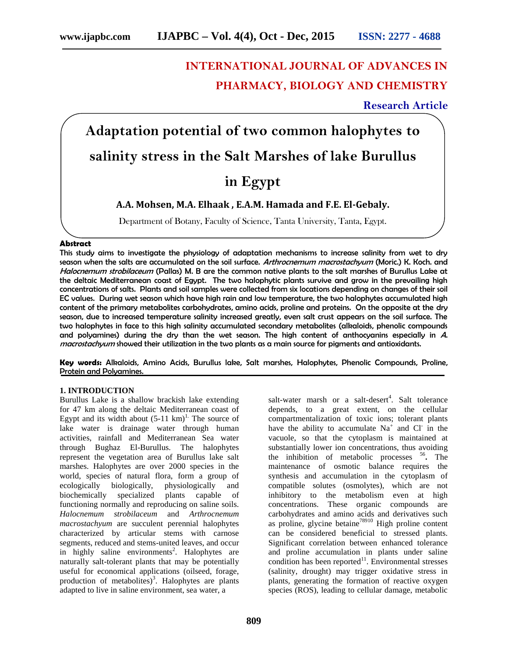# **INTERNATIONAL JOURNAL OF ADVANCES IN PHARMACY, BIOLOGY AND CHEMISTRY**

# **Research Article**

# **Adaptation potential of two common halophytes to salinity stress in the Salt Marshes of lake Burullus in Egypt**

## **A.A. Mohsen, M.A. Elhaak , E.A.M. Hamada and F.E. El-Gebaly.**

Department of Botany, Faculty of Science, Tanta University, Tanta, Egypt.

#### **Abstract**

This study aims to investigate the physiology of adaptation mechanisms to increase salinity from wet to dry season when the salts are accumulated on the soil surface. *Arthrocnemum macrostachyum* (Moric.) K. Koch. and *Halocnemum strobilaceum* (Pallas) M. B are the common native plants to the salt marshes of Burullus Lake at the deltaic Mediterranean coast of Egypt. The two halophytic plants survive and grow in the prevailing high concentrations of salts. Plants and soil samples were collected from six locations depending on changes of their soil EC values. During wet season which have high rain and low temperature, the two halophytes accumulated high content of the primary metabolites carbohydrates, amino acids, proline and proteins. On the opposite at the dry season, due to increased temperature salinity increased greatly, even salt crust appears on the soil surface. The two halophytes in face to this high salinity accumulated secondary metabolites (alkaloids, phenolic compounds and polyamines) during the dry than the wet season. The high content of anthocyanins especially in *A*. *macrostachyum* showed their utilization in the two plants as a main source for pigments and antioxidants.

**Key words:** Alkaloids, Amino Acids, Burullus lake, Salt marshes, Halophytes, Phenolic Compounds, Proline, Protein and Polyamines.

#### **1. INTRODUCTION**

Burullus Lake is a shallow brackish lake extending for 47 km along the deltaic Mediterranean coast of Egypt and its width about  $(5-11 \text{ km})^1$ . The source of lake water is drainage water through human activities, rainfall and Mediterranean Sea water through Bughaz El-Burullus. The halophytes represent the vegetation area of Burullus lake salt marshes. Halophytes are over 2000 species in the world, species of natural flora, form a group of ecologically biologically, physiologically and biochemically specialized plants capable of functioning normally and reproducing on saline soils. *Halocnemum strobilaceum* and *Arthrocnemum macrostachyum* are succulent perennial halophytes characterized by articular stems with carnose segments, reduced and stems-united leaves, and occur in highly saline environments<sup>2</sup>. Halophytes are naturally salt-tolerant plants that may be potentially useful for economical applications (oilseed, forage, production of metabolites)<sup>3</sup>. Halophytes are plants adapted to live in saline environment, sea water, a

salt-water marsh or a salt-desert<sup>4</sup>. Salt tolerance depends, to a great extent, on the cellular compartmentalization of toxic ions; tolerant plants have the ability to accumulate  $Na<sup>+</sup>$  and Cl<sup>-</sup> in the vacuole, so that the cytoplasm is maintained at substantially lower ion concentrations, thus avoiding the inhibition of metabolic processes <sup>56</sup> **.** The maintenance of osmotic balance requires the synthesis and accumulation in the cytoplasm of compatible solutes (osmolytes), which are not inhibitory to the metabolism even at high concentrations. These organic compounds are carbohydrates and amino acids and derivatives such as proline, glycine betaine<sup>78910</sup> High proline content can be considered beneficial to stressed plants. Significant correlation between enhanced tolerance and proline accumulation in plants under saline condition has been reported $11$ . Environmental stresses (salinity, drought) may trigger oxidative stress in plants, generating the formation of reactive oxygen species (ROS), leading to cellular damage, metabolic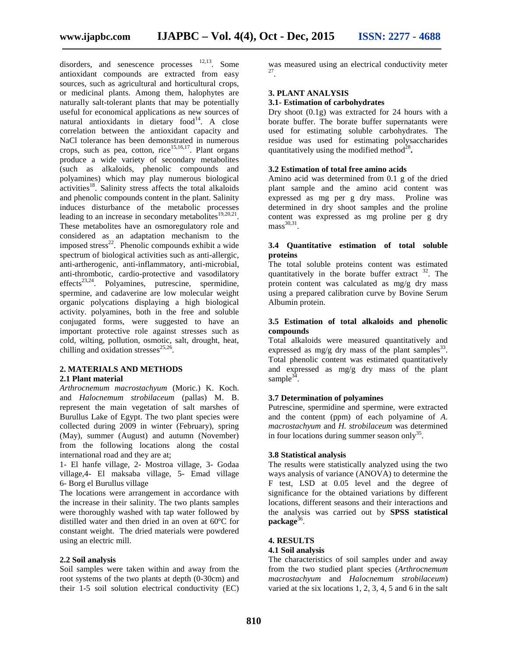disorders, and senescence processes  $^{12,13}$ . Some antioxidant compounds are extracted from easy sources, such as agricultural and horticultural crops, or medicinal plants. Among them, halophytes are naturally salt-tolerant plants that may be potentially useful for economical applications as new sources of natural antioxidants in dietary  $food<sup>14</sup>$ . A close correlation between the antioxidant capacity and NaCl tolerance has been demonstrated in numerous crops, such as pea, cotton, rice<sup>15,16,17</sup>. Plant organs produce a wide variety of secondary metabolites (such as alkaloids, phenolic compounds and polyamines) which may play numerous biological  $\arctivities$ <sup>18</sup>. Salinity stress affects the total alkaloids and phenolic compounds content in the plant. Salinity induces disturbance of the metabolic processes leading to an increase in secondary metabolites $19,20,21$ . These metabolites have an osmoregulatory role and considered as an adaptation mechanism to the imposed stress $22$ . Phenolic compounds exhibit a wide spectrum of biological activities such as anti-allergic, anti-artherogenic, anti-inflammatory, anti-microbial, anti-thrombotic, cardio-protective and vasodilatory effects<sup>23,24</sup>. Polyamines, putrescine, spermidine, spermine, and cadaverine are low molecular weight organic polycations displaying a high biological activity. polyamines, both in the free and soluble conjugated forms, were suggested to have an important protective role against stresses such as cold, wilting, pollution, osmotic, salt, drought, heat, chilling and oxidation stresses $^{25,26}$ .

## **2. MATERIALS AND METHODS**

#### **2.1 Plant material**

*Arthrocnemum macrostachyum* (Moric.) K. Koch. and *Halocnemum strobilaceum* (pallas) M. B. represent the main vegetation of salt marshes of Burullus Lake of Egypt. The two plant species were collected during 2009 in winter (February), spring (May), summer (August) and autumn (November) from the following locations along the costal international road and they are at;

1- El hanfe village, 2- Mostroa village, 3- Godaa village,4- El maksaba village, 5- Emad village 6- Borg el Burullus village

The locations were arrangement in accordance with the increase in their salinity. The two plants samples were thoroughly washed with tap water followed by distilled water and then dried in an oven at 60ºC for constant weight. The dried materials were powdered using an electric mill.

#### **2.2 Soil analysis**

Soil samples were taken within and away from the root systems of the two plants at depth (0-30cm) and their 1-5 soil solution electrical conductivity (EC) was measured using an electrical conductivity meter 27 .

#### **3. PLANT ANALYSIS**

#### **3.1- Estimation of carbohydrates**

Dry shoot (0.1g) was extracted for 24 hours with a borate buffer. The borate buffer supernatants were used for estimating soluble carbohydrates. The residue was used for estimating polysaccharides quantitatively using the modified method<sup>28</sup>.

#### **3.2 Estimation of total free amino acids**

Amino acid was determined from 0.1 g of the dried plant sample and the amino acid content was expressed as mg per g dry mass. Proline was determined in dry shoot samples and the proline content was expressed as mg proline per g dry  $mass<sup>30,31</sup>$ .

#### **3.4 Quantitative estimation of total soluble proteins**

The total soluble proteins content was estimated quantitatively in the borate buffer extract  $32$ . The protein content was calculated as mg/g dry mass using a prepared calibration curve by Bovine Serum Albumin protein.

#### **3.5 Estimation of total alkaloids and phenolic compounds**

Total alkaloids were measured quantitatively and expressed as mg/g dry mass of the plant samples  $33$ . Total phenolic content was estimated quantitatively and expressed as mg/g dry mass of the plant sample $3\overline{4}$ .

#### **3.7 Determination of polyamines**

Putrescine, spermidine and spermine, were extracted and the content (ppm) of each polyamine of *A*. *macrostachyum* and *H. strobilaceum* was determined in four locations during summer season only<sup>35</sup>.

#### **3.8 Statistical analysis**

The results were statistically analyzed using the two ways analysis of variance (ANOVA) to determine the F test, LSD at 0.05 level and the degree of significance for the obtained variations by different locations, different seasons and their interactions and the analysis was carried out by **SPSS statistical** package<sup>36</sup>.

#### **4. RESULTS**

#### **4.1 Soil analysis**

The characteristics of soil samples under and away from the two studied plant species (*Arthrocnemum macrostachyum* and *Halocnemum strobilaceum*) varied at the six locations 1, 2, 3, 4, 5 and 6 in the salt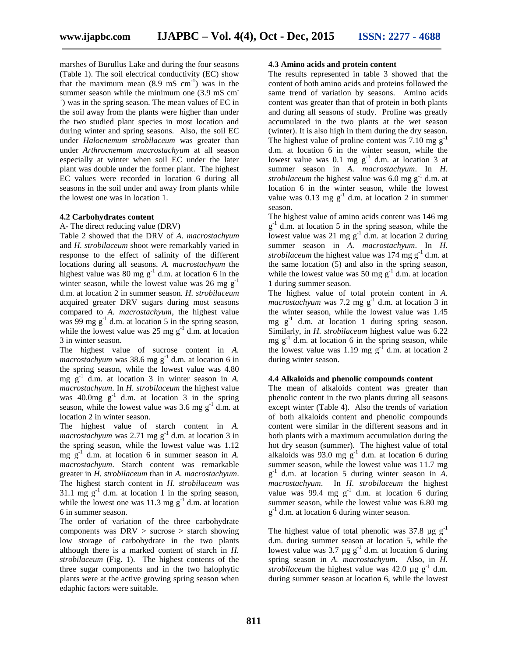marshes of Burullus Lake and during the four seasons (Table 1). The soil electrical conductivity (EC) show that the maximum mean  $(8.9 \text{ mS cm}^{-1})$  was in the summer season while the minimum one  $(3.9 \text{ mS cm}^{-1})$  was in the spring season. The mean values of EC in the soil away from the plants were higher than under the two studied plant species in most location and during winter and spring seasons. Also, the soil EC under *Halocnemum strobilaceum* was greater than under *Arthrocnemum macrostachyum* at all season especially at winter when soil EC under the later plant was double under the former plant. The highest EC values were recorded in location 6 during all seasons in the soil under and away from plants while the lowest one was in location 1.

#### **4.2 Carbohydrates content**

A- The direct reducing value (DRV)

Table 2 showed that the DRV of *A. macrostachyum* and *H. strobilaceum* shoot were remarkably varied in response to the effect of salinity of the different locations during all seasons. *A. macrostachyum* the highest value was 80 mg  $g^{-1}$  d.m. at location 6 in the winter season, while the lowest value was  $26$  mg  $g^{-1}$ d.m. at location 2 in summer season. *H. strobilaceum* acquired greater DRV sugars during most seasons compared to *A. macrostachyum*, the highest value was 99 mg  $g^{-1}$  d.m. at location 5 in the spring season, while the lowest value was 25 mg  $g^{-1}$  d.m. at location 3 in winter season.

The highest value of sucrose content in *A.*  $macrostachyum$  was 38.6 mg  $g^{-1}$  d.m. at location 6 in the spring season, while the lowest value was 4.80 mg g-1 d.m. at location 3 in winter season in *A. macrostachyum*. In *H. strobilaceum* the highest value was  $40.0mg \text{ g}^{-1}$  d.m. at location 3 in the spring season, while the lowest value was  $3.6 \text{ mg g}^{-1}$  d.m. at location 2 in winter season.

The highest value of starch content in *A.*  $macrostack{vum}$  was 2.71 mg  $g^{-1}$  d.m. at location 3 in the spring season, while the lowest value was 1.12 mg g-1 d.m. at location 6 in summer season in *A. macrostachyum*. Starch content was remarkable greater in *H. strobilaceum* than in *A. macrostachyum*. The highest starch content in *H. strobilaceum* was 31.1 mg  $g^{-1}$  d.m. at location 1 in the spring season, while the lowest one was 11.3 mg  $g^{-1}$  d.m. at location 6 in summer season.

The order of variation of the three carbohydrate components was  $DRV >$  sucrose  $>$  starch showing low storage of carbohydrate in the two plants although there is a marked content of starch in *H. strobilaceum* (Fig. 1). The highest contents of the three sugar components and in the two halophytic plants were at the active growing spring season when edaphic factors were suitable.

#### **4.3 Amino acids and protein content**

The results represented in table 3 showed that the content of both amino acids and proteins followed the same trend of variation by seasons. Amino acids content was greater than that of protein in both plants and during all seasons of study. Proline was greatly accumulated in the two plants at the wet season (winter). It is also high in them during the dry season. The highest value of proline content was 7.10 mg  $g^{-1}$ d.m. at location 6 in the winter season, while the lowest value was 0.1 mg  $g^{-1}$  d.m. at location 3 at summer season in *A. macrostachyum*. In *H. strobilaceum* the highest value was  $6.0 \text{ mg g}^{-1}$  d.m. at location 6 in the winter season, while the lowest value was 0.13 mg  $g^{-1}$  d.m. at location 2 in summer season.

The highest value of amino acids content was 146 mg  $g^{-1}$  d.m. at location 5 in the spring season, while the lowest value was 21 mg  $g^{-1}$  d.m. at location 2 during summer season in *A. macrostachyum*. In *H. strobilaceum* the highest value was  $174 \text{ mg g}^{-1}$  d.m. at the same location (5) and also in the spring season, while the lowest value was 50 mg  $g^{-1}$  d.m. at location 1 during summer season.

The highest value of total protein content in *A. macrostachyum* was 7.2 mg  $g^{-1}$  d.m. at location 3 in the winter season, while the lowest value was 1.45 mg  $g^{-1}$  d.m. at location 1 during spring season. Similarly, in *H. strobilaceum* highest value was 6.22 mg  $g^{-1}$  d.m. at location 6 in the spring season, while the lowest value was 1.19 mg  $g^{-1}$  d.m. at location 2 during winter season.

#### **4.4 Alkaloids and phenolic compounds content**

The mean of alkaloids content was greater than phenolic content in the two plants during all seasons except winter (Table 4). Also the trends of variation of both alkaloids content and phenolic compounds content were similar in the different seasons and in both plants with a maximum accumulation during the hot dry season (summer). The highest value of total alkaloids was  $93.0 \text{ mg g}^{-1}$  d.m. at location 6 during summer season, while the lowest value was 11.7 mg g -1 d.m. at location 5 during winter season in *A. macrostachyum*. In *H. strobilaceum* the highest value was  $99.4 \text{ mg g}^{-1}$  d.m. at location 6 during summer season, while the lowest value was 6.80 mg g<sup>-1</sup> d.m. at location 6 during winter season.

The highest value of total phenolic was 37.8  $\mu$ g g<sup>-1</sup> d.m. during summer season at location 5, while the lowest value was 3.7  $\mu$ g g<sup>-1</sup> d.m. at location 6 during spring season in *A. macrostachyum*. Also, in *H. strobilaceum* the highest value was 42.0  $\mu$ g g<sup>-1</sup> d.m. during summer season at location 6, while the lowest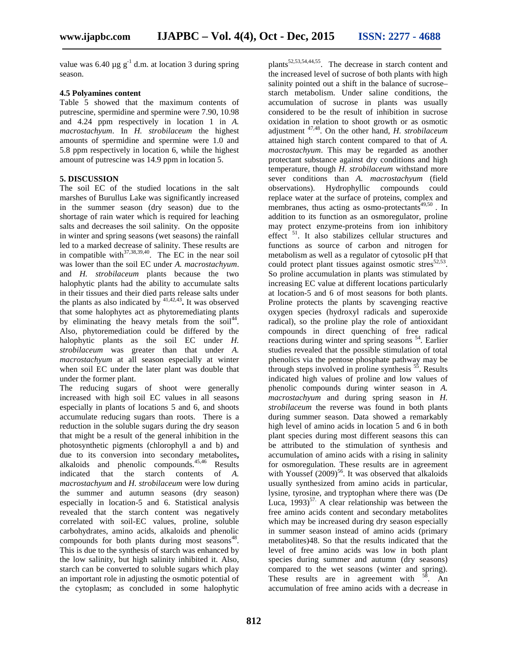value was 6.40  $\mu$ g g<sup>-1</sup> d.m. at location 3 during spring season.

#### **4.5 Polyamines content**

Table 5 showed that the maximum contents of putrescine, spermidine and spermine were 7.90, 10.98 and 4.24 ppm respectively in location 1 in *A. macrostachyum*. In *H. strobilaceum* the highest amounts of spermidine and spermine were 1.0 and 5.8 ppm respectively in location 6, while the highest amount of putrescine was 14.9 ppm in location 5.

#### **5. DISCUSSION**

The soil EC of the studied locations in the salt marshes of Burullus Lake was significantly increased in the summer season (dry season) due to the shortage of rain water which is required for leaching salts and decreases the soil salinity. On the opposite in winter and spring seasons (wet seasons) the rainfall led to a marked decrease of salinity. These results are in compatible with $37,38,39,40$ . The EC in the near soil was lower than the soil EC under *A. macrostachyum*. and *H. strobilaceum* plants because the two halophytic plants had the ability to accumulate salts in their tissues and their died parts release salts under the plants as also indicated by  $4^{1,42,43}$ . It was observed that some halophytes act as phytoremediating plants by eliminating the heavy metals from the  $\text{soi}^{144}$ . Also, phytoremediation could be differed by the halophytic plants as the soil EC under *H. strobilaceum* was greater than that under *A. macrostachyum* at all season especially at winter when soil EC under the later plant was double that under the former plant.

The reducing sugars of shoot were generally increased with high soil EC values in all seasons especially in plants of locations 5 and 6, and shoots accumulate reducing sugars than roots. There is a reduction in the soluble sugars during the dry season that might be a result of the general inhibition in the photosynthetic pigments (chlorophyll a and b) and due to its conversion into secondary metabolites**,** alkaloids and phenolic compounds.<sup>45,46</sup> Results indicated that the starch contents of *A. macrostachyum* and *H. strobilaceum* were low during the summer and autumn seasons (dry season) especially in location-5 and 6. Statistical analysis revealed that the starch content was negatively correlated with soil-EC values, proline, soluble carbohydrates, amino acids, alkaloids and phenolic compounds for both plants during most seasons<sup>48</sup>. This is due to the synthesis of starch was enhanced by the low salinity, but high salinity inhibited it. Also, starch can be converted to soluble sugars which play an important role in adjusting the osmotic potential of the cytoplasm; as concluded in some halophytic

plants<sup>52,53,54,44,55</sup>. The decrease in starch content and the increased level of sucrose of both plants with high salinity pointed out a shift in the balance of sucrose– starch metabolism. Under saline conditions, the accumulation of sucrose in plants was usually considered to be the result of inhibition in sucrose oxidation in relation to shoot growth or as osmotic adjustment 47,48. On the other hand, *H. strobilaceum* attained high starch content compared to that of *A. macrostachyum*. This may be regarded as another protectant substance against dry conditions and high temperature, though *H. strobilaceum* withstand more sever conditions than *A. macrostachyum* (field observations). Hydrophyllic compounds could replace water at the surface of proteins, complex and membranes, thus acting as  $\overline{\text{osmo-protectants}}^{49,50}$ . In addition to its function as an osmoregulator, proline may protect enzyme-proteins from ion inhibitory effect<sup>51</sup>. It also stabilizes cellular structures and functions as source of carbon and nitrogen for metabolism as well as a regulator of cytosolic pH that could protect plant tissues against osmotic stres $52,53$ . So proline accumulation in plants was stimulated by increasing EC value at different locations particularly at location-5 and 6 of most seasons for both plants. Proline protects the plants by scavenging reactive oxygen species (hydroxyl radicals and superoxide radical), so the proline play the role of antioxidant compounds in direct quenching of free radical reactions during winter and spring seasons <sup>54</sup>. Earlier studies revealed that the possible stimulation of total phenolics via the pentose phosphate pathway may be through steps involved in proline synthesis  $5<sup>5</sup>$ . Results indicated high values of proline and low values of phenolic compounds during winter season in *A. macrostachyum* and during spring season in *H. strobilaceum* the reverse was found in both plants during summer season. Data showed a remarkably high level of amino acids in location 5 and 6 in both plant species during most different seasons this can be attributed to the stimulation of synthesis and accumulation of amino acids with a rising in salinity for osmoregulation. These results are in agreement with Youssef  $(2009)^{56}$ . It was observed that alkaloids usually synthesized from amino acids in particular, lysine, tyrosine, and tryptophan where there was (De Luca,  $1993$ <sup>57.</sup> A clear relationship was between the free amino acids content and secondary metabolites which may be increased during dry season especially in summer season instead of amino acids (primary metabolites)48. So that the results indicated that the level of free amino acids was low in both plant species during summer and autumn (dry seasons) compared to the wet seasons (winter and spring). These results are in agreement with  $58$ . An accumulation of free amino acids with a decrease in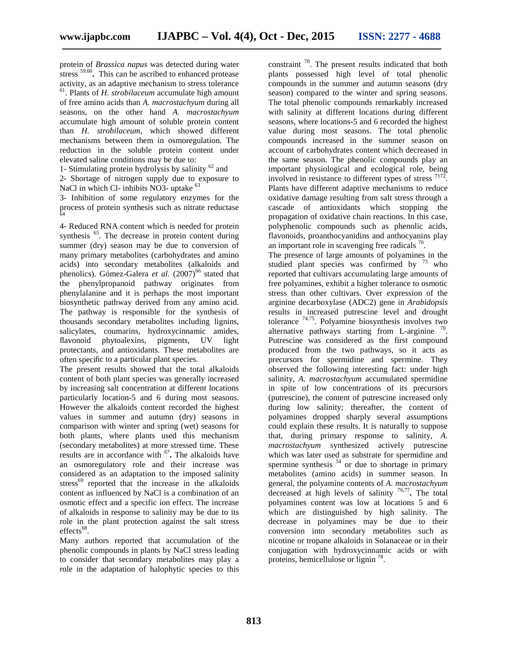protein of *Brassica napus* was detected during water stress <sup>59,60</sup>. This can be ascribed to enhanced protease activity, as an adaptive mechanism to stress tolerance <sup>61</sup>. Plants of *H. strobilaceum* accumulate high amount of free amino acids than *A. macrostachyum* during all seasons, on the other hand *A. macrostachyum* accumulate high amount of soluble protein content than *H. strobilaceum*, which showed different mechanisms between them in osmoregulation. The reduction in the soluble protein content under elevated saline conditions may be due to:

1- Stimulating protein hydrolysis by salinity  $62$  and

2- Shortage of nitrogen supply due to exposure to NaCl in which Cl- inhibits NO3- uptake <sup>63</sup>

3- Inhibition of some regulatory enzymes for the process of protein synthesis such as nitrate reductase 64

4- Reduced RNA content which is needed for protein synthesis <sup>65</sup>. The decrease in protein content during summer (dry) season may be due to conversion of many primary metabolites (carbohydrates and amino acids) into secondary metabolites (alkaloids and phenolics). Gómez-Galera et al. (2007)<sup>66</sup> stated that the phenylpropanoid pathway originates from phenylalanine and it is perhaps the most important biosynthetic pathway derived from any amino acid. The pathway is responsible for the synthesis of thousands secondary metabolites including lignins, salicylates, coumarins, hydroxycinnamic amides, flavonoid phytoalexins, pigments, UV light protectants, and antioxidants. These metabolites are often specific to a particular plant species.

The present results showed that the total alkaloids content of both plant species was generally increased by increasing salt concentration at different locations particularly location-5 and 6 during most seasons. However the alkaloids content recorded the highest values in summer and autumn (dry) seasons in comparison with winter and spring (wet) seasons for both plants, where plants used this mechanism (secondary metabolites) at more stressed time. These results are in accordance with <sup>67</sup>. The alkaloids have an osmoregulatory role and their increase was considered as an adaptation to the imposed salinity stress<sup>69</sup> reported that the increase in the alkaloids content as influenced by NaCl is a combination of an osmotic effect and a specific ion effect. The increase of alkaloids in response to salinity may be due to its role in the plant protection against the salt stress  $effects$ <sup>68</sup>.

Many authors reported that accumulation of the phenolic compounds in plants by NaCl stress leading to consider that secondary metabolites may play a role in the adaptation of halophytic species to this

constraint <sup>70</sup>. The present results indicated that both plants possessed high level of total phenolic compounds in the summer and autumn seasons (dry season) compared to the winter and spring seasons. The total phenolic compounds remarkably increased with salinity at different locations during different seasons, where locations-5 and 6 recorded the highest value during most seasons. The total phenolic compounds increased in the summer season on account of carbohydrates content which decreased in the same season. The phenolic compounds play an important physiological and ecological role, being involved in resistance to different types of stress  $7172$ . Plants have different adaptive mechanisms to reduce oxidative damage resulting from salt stress through a cascade of antioxidants which stopping the propagation of oxidative chain reactions. In this case, polyphenolic compounds such as phenolic acids, flavonoids, proanthocyanidins and anthocyanins play an important role in scavenging free radicals  $\frac{70}{2}$ .

The presence of large amounts of polyamines in the studied plant species was confirmed by  $^{73}$  who reported that cultivars accumulating large amounts of free polyamines, exhibit a higher tolerance to osmotic stress than other cultivars. Over expression of the arginine decarboxylase (ADC2) gene in *Arabidopsis* results in increased putrescine level and drought tolerance 74,75. Polyamine biosynthesis involves two alternative pathways starting from L-arginine  $\frac{70}{2}$ . Putrescine was considered as the first compound produced from the two pathways, so it acts as precursors for spermidine and spermine. They observed the following interesting fact: under high salinity, *A*. *macrostachyum* accumulated spermidine in spite of low concentrations of its precursors (putrescine), the content of putrescine increased only during low salinity; thereafter, the content of polyamines dropped sharply several assumptions could explain these results. It is naturally to suppose that, during primary response to salinity, *A*. *macrostachyum* synthesized actively putrescine which was later used as substrate for spermidine and spermine synthesis <sup>54</sup> or due to shortage in primary metabolites (amino acids) in summer season. In general, the polyamine contents of *A*. *macrostachyum* decreased at high levels of salinity 76,77 **.** The total polyamines content was low at locations 5 and 6 which are distinguished by high salinity. The decrease in polyamines may be due to their conversion into secondary metabolites such as nicotine or tropane alkaloids in Solanaceae or in their conjugation with hydroxycinnamic acids or with proteins, hemicellulose or lignin<sup>78</sup>.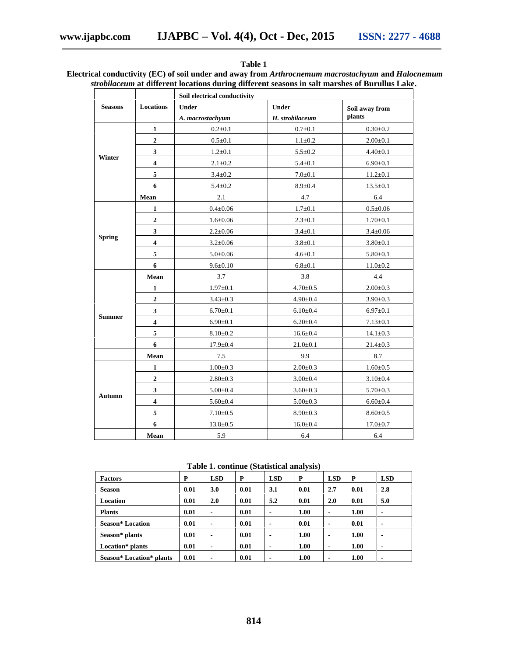|                |                         | Soil electrical conductivity |                 |                |  |  |  |  |
|----------------|-------------------------|------------------------------|-----------------|----------------|--|--|--|--|
| <b>Seasons</b> | Locations               | <b>Under</b>                 | Under           | Soil away from |  |  |  |  |
|                |                         | A. macrostachyum             | H. strobilaceum | plants         |  |  |  |  |
|                | 1                       | $0.2 \pm 0.1$                | $0.7 + 0.1$     | $0.30 + 0.2$   |  |  |  |  |
|                | $\overline{2}$          | $0.5 \pm 0.1$                | $1.1 \pm 0.2$   | $2.00 \pm 0.1$ |  |  |  |  |
|                | $\overline{\mathbf{3}}$ | $1.2 \pm 0.1$                | $5.5 \pm 0.2$   | $4.40 \pm 0.1$ |  |  |  |  |
| Winter         | $\overline{\mathbf{4}}$ | $2.1 \pm 0.2$                | $5.4 \pm 0.1$   | $6.90 \pm 0.1$ |  |  |  |  |
|                | 5                       | $3.4 \pm 0.2$                | $7.0 + 0.1$     | $11.2 \pm 0.1$ |  |  |  |  |
|                | 6                       | $5.4 \pm 0.2$                | $8.9 \pm 0.4$   | $13.5 \pm 0.1$ |  |  |  |  |
|                | Mean                    | 2.1                          | 4.7             | 6.4            |  |  |  |  |
|                | 1                       | $0.4 \pm 0.06$               | $1.7 \pm 0.1$   | $0.5 \pm 0.06$ |  |  |  |  |
|                | $\mathbf{2}$            | $1.6 \pm 0.06$               | $2.3 \pm 0.1$   | $1.70{\pm}0.1$ |  |  |  |  |
|                | $\overline{\mathbf{3}}$ | $2.2 \pm 0.06$               | $3.4 \pm 0.1$   | $3.4 \pm 0.06$ |  |  |  |  |
| <b>Spring</b>  | $\overline{\mathbf{4}}$ | $3.2 \pm 0.06$               | $3.8 + 0.1$     | $3.80 + 0.1$   |  |  |  |  |
|                | 5                       | $5.0 + 0.06$                 | $4.6 + 0.1$     | $5.80 \pm 0.1$ |  |  |  |  |
|                | 6                       | $9.6 \pm 0.10$               | $6.8 + 0.1$     | $11.0 \pm 0.2$ |  |  |  |  |
|                | Mean                    | 3.7                          | 3.8             | 4.4            |  |  |  |  |
|                | $\mathbf{1}$            | $1.97 \pm 0.1$               | $4.70 \pm 0.5$  | $2.00 \pm 0.3$ |  |  |  |  |
|                | $\overline{2}$          | $3.43 \pm 0.3$               | $4.90 \pm 0.4$  | $3.90 \pm 0.3$ |  |  |  |  |
|                | 3                       | $6.70 \pm 0.1$               | $6.10{\pm}0.4$  | $6.97 \pm 0.1$ |  |  |  |  |
| <b>Summer</b>  | $\overline{\mathbf{4}}$ | $6.90 \pm 0.1$               | $6.20 \pm 0.4$  | $7.13 \pm 0.1$ |  |  |  |  |
|                | 5                       | $8.10{\pm}0.2$               | $16.6 \pm 0.4$  | $14.1 \pm 0.3$ |  |  |  |  |
|                | 6                       | $17.9 \pm 0.4$               | $21.0 \pm 0.1$  | $21.4 \pm 0.3$ |  |  |  |  |
|                | Mean                    | 7.5                          | 9.9             | 8.7            |  |  |  |  |
|                | 1                       | $1.00 \pm 0.3$               | $2.00 \pm 0.3$  | $1.60 \pm 0.5$ |  |  |  |  |
|                | $\overline{2}$          | $2.80 \pm 0.3$               | $3.00 \pm 0.4$  | $3.10 \pm 0.4$ |  |  |  |  |
|                | $\overline{\mathbf{3}}$ | $5.00 \pm 0.4$               | $3.60 \pm 0.3$  | $5.70 \pm 0.3$ |  |  |  |  |
| <b>Autumn</b>  | $\overline{\mathbf{4}}$ | $5.60 \pm 0.4$               | $5.00 \pm 0.3$  | $6.60 \pm 0.4$ |  |  |  |  |
|                | 5                       | $7.10{\pm}0.5$               | $8.90 \pm 0.3$  | $8.60 \pm 0.5$ |  |  |  |  |
|                | 6                       | $13.8 \pm 0.5$               | $16.0 \pm 0.4$  | $17.0 \pm 0.7$ |  |  |  |  |
|                | Mean                    | 5.9                          | 6.4             | 6.4            |  |  |  |  |

#### **Table 1**

### **Electrical conductivity (EC) of soil under and away from** *Arthrocnemum macrostachyum* **and** *Halocnemum strobilaceum* **at different locations during different seasons in salt marshes of Burullus Lake.**

**Table 1. continue (Statistical analysis)**

| <b>Factors</b>           | P    | <b>LSD</b> | P    | <b>LSD</b> | P    | <b>LSD</b>     | P    | <b>LSD</b>     |
|--------------------------|------|------------|------|------------|------|----------------|------|----------------|
| <b>Season</b>            | 0.01 | 3.0        | 0.01 | 3.1        | 0.01 | 2.7            | 0.01 | 2.8            |
| Location                 | 0.01 | 2.0        | 0.01 | 5.2        | 0.01 | 2.0            | 0.01 | 5.0            |
| <b>Plants</b>            | 0.01 | ۰          | 0.01 | -          | 1.00 | $\blacksquare$ | 1.00 | $\blacksquare$ |
| <b>Season*</b> Location  | 0.01 | ۰          | 0.01 | -          | 0.01 | ۰              | 0.01 | $\blacksquare$ |
| Season* plants           | 0.01 | ۰          | 0.01 | -          | 1.00 | $\blacksquare$ | 1.00 | $\blacksquare$ |
| Location* plants         | 0.01 | ۰          | 0.01 |            | 1.00 | ۰              | 1.00 | $\blacksquare$ |
| Season* Location* plants | 0.01 | ۰          | 0.01 | -          | 1.00 | $\blacksquare$ | 1.00 | $\blacksquare$ |

# **814**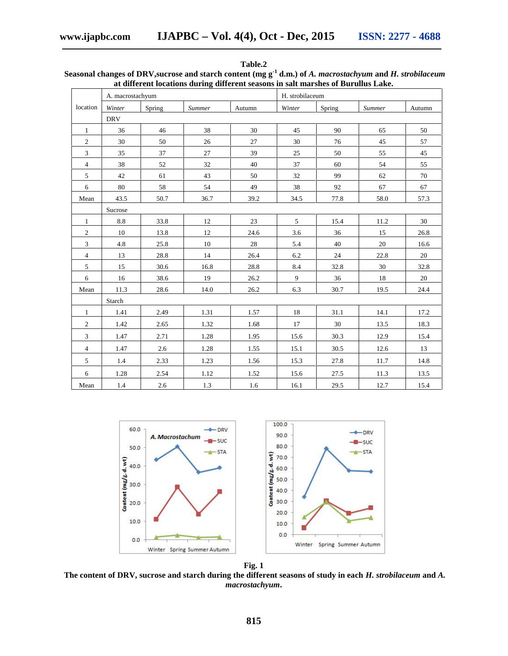|                | A. macrostachyum |        |               |        | H. strobilaceum |        |               |        |  |
|----------------|------------------|--------|---------------|--------|-----------------|--------|---------------|--------|--|
| location       | Winter           | Spring | <b>Summer</b> | Autumn | Winter          | Spring | <b>Summer</b> | Autumn |  |
|                | <b>DRV</b>       |        |               |        |                 |        |               |        |  |
| $\mathbf{1}$   | 36               | 46     | 38            | 30     | 45              | 90     | 65            | 50     |  |
| $\overline{c}$ | 30               | 50     | 26            | 27     | 30              | 76     | 45            | 57     |  |
| $\mathfrak{Z}$ | 35               | 37     | 27            | 39     | 25              | 50     | 55            | 45     |  |
| $\overline{4}$ | 38               | 52     | 32            | 40     | 37              | 60     | 54            | 55     |  |
| $\sqrt{5}$     | 42               | 61     | 43            | 50     | 32              | 99     | 62            | 70     |  |
| 6              | 80               | 58     | 54            | 49     | 38              | 92     | 67            | 67     |  |
| Mean           | 43.5             | 50.7   | 36.7          | 39.2   | 34.5            | 77.8   | 58.0          | 57.3   |  |
|                | Sucrose          |        |               |        |                 |        |               |        |  |
| $\mathbf{1}$   | 8.8              | 33.8   | 12            | 23     | 5               | 15.4   | 11.2          | 30     |  |
| $\sqrt{2}$     | $10\,$           | 13.8   | 12            | 24.6   | 3.6             | 36     | 15            | 26.8   |  |
| $\overline{3}$ | 4.8              | 25.8   | 10            | 28     | 5.4             | 40     | 20            | 16.6   |  |
| $\overline{4}$ | 13               | 28.8   | 14            | 26.4   | 6.2             | 24     | 22.8          | 20     |  |
| 5              | 15               | 30.6   | 16.8          | 28.8   | 8.4             | 32.8   | 30            | 32.8   |  |
| 6              | 16               | 38.6   | 19            | 26.2   | 9               | 36     | 18            | 20     |  |
| Mean           | 11.3             | 28.6   | 14.0          | 26.2   | 6.3             | 30.7   | 19.5          | 24.4   |  |
|                | Starch           |        |               |        |                 |        |               |        |  |
| $\mathbf{1}$   | 1.41             | 2.49   | 1.31          | 1.57   | 18              | 31.1   | 14.1          | 17.2   |  |
| $\overline{2}$ | 1.42             | 2.65   | 1.32          | 1.68   | 17              | 30     | 13.5          | 18.3   |  |
| $\mathfrak{Z}$ | 1.47             | 2.71   | 1.28          | 1.95   | 15.6            | 30.3   | 12.9          | 15.4   |  |
| $\overline{4}$ | 1.47             | 2.6    | 1.28          | 1.55   | 15.1            | 30.5   | 12.6          | 13     |  |
| 5              | 1.4              | 2.33   | 1.23          | 1.56   | 15.3            | 27.8   | 11.7          | 14.8   |  |
| 6              | 1.28             | 2.54   | 1.12          | 1.52   | 15.6            | 27.5   | 11.3          | 13.5   |  |
| Mean           | 1.4              | 2.6    | 1.3           | 1.6    | 16.1            | 29.5   | 12.7          | 15.4   |  |

**Table.2 Seasonal changes of DRV,sucrose and starch content (mg g-1 d.m.) of** *A. macrostachyum* **and** *H. strobilaceum* **at different locations during different seasons in salt marshes of Burullus Lake.**



**Fig. 1 The content of DRV, sucrose and starch during the different seasons of study in each** *H. strobilaceum* **and** *A. macrostachyum***.**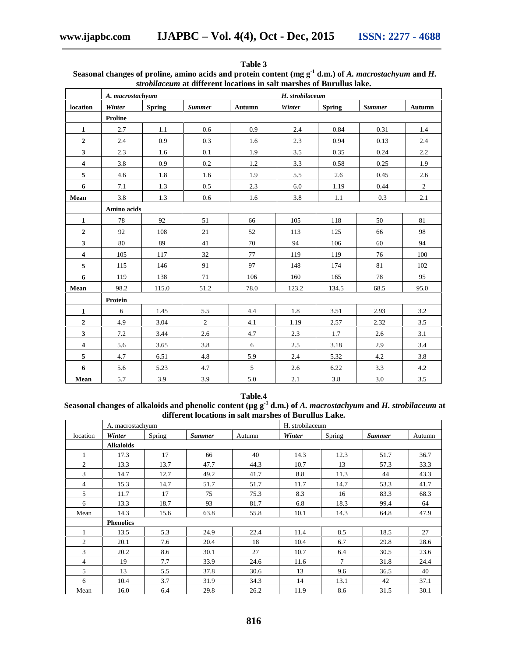|                         | A. macrostachyum |               |               |        | H. strobilaceum |               |               |            |  |
|-------------------------|------------------|---------------|---------------|--------|-----------------|---------------|---------------|------------|--|
| location                | Winter           | <b>Spring</b> | <b>Summer</b> | Autumn | Winter          | <b>Spring</b> | <b>Summer</b> | Autumn     |  |
|                         | Proline          |               |               |        |                 |               |               |            |  |
| $\mathbf{1}$            | 2.7              | 1.1           | 0.6           | 0.9    | 2.4             | 0.84          | 0.31          | 1.4        |  |
| $\mathbf{2}$            | 2.4              | 0.9           | 0.3           | 1.6    | 2.3             | 0.94          | 0.13          | 2.4        |  |
| 3                       | 2.3              | 1.6           | 0.1           | 1.9    | 3.5             | 0.35          | 0.24          | 2.2        |  |
| $\overline{\mathbf{4}}$ | 3.8              | 0.9           | 0.2           | 1.2    | 3.3             | 0.58          | 0.25          | 1.9        |  |
| 5                       | 4.6              | 1.8           | 1.6           | 1.9    | 5.5             | 2.6           | 0.45          | 2.6        |  |
| 6                       | 7.1              | 1.3           | 0.5           | 2.3    | 6.0             | 1.19          | 0.44          | $\sqrt{2}$ |  |
| Mean                    | 3.8              | 1.3           | 0.6           | 1.6    | 3.8             | 1.1           | 0.3           | 2.1        |  |
|                         | Amino acids      |               |               |        |                 |               |               |            |  |
| 1                       | 78               | 92            | 51            | 66     | 105             | 118           | 50            | 81         |  |
| $\mathbf{2}$            | 92               | 108           | 21            | 52     | 113             | 125           | 66            | 98         |  |
| 3                       | 80               | 89            | 41            | 70     | 94              | 106           | 60            | 94         |  |
| 4                       | 105              | 117           | 32            | 77     | 119             | 119           | 76            | 100        |  |
| 5                       | 115              | 146           | 91            | 97     | 148             | 174           | 81            | 102        |  |
| 6                       | 119              | 138           | 71            | 106    | 160             | 165           | 78            | 95         |  |
| Mean                    | 98.2             | 115.0         | 51.2          | 78.0   | 123.2           | 134.5         | 68.5          | 95.0       |  |
|                         | Protein          |               |               |        |                 |               |               |            |  |
| $\mathbf{1}$            | 6                | 1.45          | 5.5           | 4.4    | 1.8             | 3.51          | 2.93          | 3.2        |  |
| $\boldsymbol{2}$        | 4.9              | 3.04          | 2             | 4.1    | 1.19            | 2.57          | 2.32          | 3.5        |  |
| 3                       | 7.2              | 3.44          | 2.6           | 4.7    | 2.3             | 1.7           | 2.6           | 3.1        |  |
| 4                       | 5.6              | 3.65          | 3.8           | 6      | 2.5             | 3.18          | 2.9           | 3.4        |  |
| 5                       | 4.7              | 6.51          | 4.8           | 5.9    | 2.4             | 5.32          | 4.2           | 3.8        |  |
| 6                       | 5.6              | 5.23          | 4.7           | 5      | 2.6             | 6.22          | 3.3           | 4.2        |  |
| Mean                    | 5.7              | 3.9           | 3.9           | 5.0    | 2.1             | 3.8           | 3.0           | 3.5        |  |

**Table 3 Seasonal changes of proline, amino acids and protein content (mg g-1 d.m.) of** *A. macrostachyum* **and** *H. strobilaceum* **at different locations in salt marshes of Burullus lake.**

**Table.4**

**Seasonal changes of alkaloids and phenolic content (µg g-1 d.m.) of** *A. macrostachyum* **and** *H. strobilaceum* **at different locations in salt marshes of Burullus Lake.**

|                | A. macrostachyum |        |               | H. strobilaceum |        |        |               |        |
|----------------|------------------|--------|---------------|-----------------|--------|--------|---------------|--------|
| location       | Winter           | Spring | <b>Summer</b> | Autumn          | Winter | Spring | <b>Summer</b> | Autumn |
|                | <b>Alkaloids</b> |        |               |                 |        |        |               |        |
|                | 17.3             | 17     | 66            | 40              | 14.3   | 12.3   | 51.7          | 36.7   |
| $\overline{2}$ | 13.3             | 13.7   | 47.7          | 44.3            | 10.7   | 13     | 57.3          | 33.3   |
| 3              | 14.7             | 12.7   | 49.2          | 41.7            | 8.8    | 11.3   | 44            | 43.3   |
| 4              | 15.3             | 14.7   | 51.7          | 51.7            | 11.7   | 14.7   | 53.3          | 41.7   |
| 5              | 11.7             | 17     | 75            | 75.3            | 8.3    | 16     | 83.3          | 68.3   |
| 6              | 13.3             | 18.7   | 93            | 81.7            | 6.8    | 18.3   | 99.4          | 64     |
| Mean           | 14.3             | 15.6   | 63.8          | 55.8            | 10.1   | 14.3   | 64.8          | 47.9   |
|                | <b>Phenolics</b> |        |               |                 |        |        |               |        |
|                | 13.5             | 5.3    | 24.9          | 22.4            | 11.4   | 8.5    | 18.5          | 27     |
| $\overline{2}$ | 20.1             | 7.6    | 20.4          | 18              | 10.4   | 6.7    | 29.8          | 28.6   |
| 3              | 20.2             | 8.6    | 30.1          | 27              | 10.7   | 6.4    | 30.5          | 23.6   |
| 4              | 19               | 7.7    | 33.9          | 24.6            | 11.6   | $\tau$ | 31.8          | 24.4   |
| 5              | 13               | 5.5    | 37.8          | 30.6            | 13     | 9.6    | 36.5          | 40     |
| 6              | 10.4             | 3.7    | 31.9          | 34.3            | 14     | 13.1   | 42            | 37.1   |
| Mean           | 16.0             | 6.4    | 29.8          | 26.2            | 11.9   | 8.6    | 31.5          | 30.1   |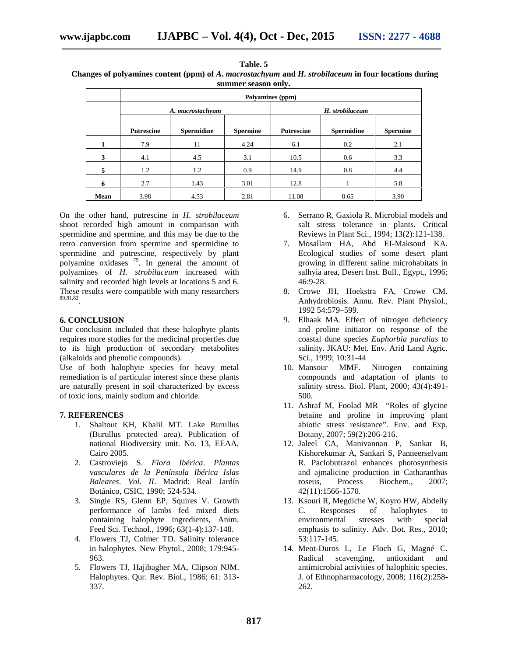$T = T$ 

| тане. э                                                                                              |  |
|------------------------------------------------------------------------------------------------------|--|
| Changes of polyamines content (ppm) of A. macrostachyum and H. strobilaceum in four locations during |  |
| summer season only.                                                                                  |  |

|      | Polyamines (ppm)  |                   |                 |                   |                   |                 |  |  |  |  |
|------|-------------------|-------------------|-----------------|-------------------|-------------------|-----------------|--|--|--|--|
|      |                   | A. macrostachyum  |                 | H. strobilaceum   |                   |                 |  |  |  |  |
|      | <b>Putrescine</b> | <b>Spermidine</b> | <b>Spermine</b> | <b>Putrescine</b> | <b>Spermidine</b> | <b>Spermine</b> |  |  |  |  |
|      | 7.9               | 11                | 4.24            | 6.1               | 0.2               | 2.1             |  |  |  |  |
| 3    | 4.1               | 4.5               | 3.1             | 10.5              | 0.6               | 3.3             |  |  |  |  |
| 5    | 1.2               | 1.2               | 0.9             | 14.9              | 0.8               | 4.4             |  |  |  |  |
| 6    | 2.7               | 1.43              | 3.01            | 12.8              |                   | 5.8             |  |  |  |  |
| Mean | 3.98              | 4.53              | 2.81            | 11.08             | 0.65              | 3.90            |  |  |  |  |

On the other hand, putrescine in *H. strobilaceum* shoot recorded high amount in comparison with spermidine and spermine, and this may be due to the retro conversion from spermine and spermidine to spermidine and putrescine, respectively by plant polyamine  $\frac{1}{2}$  contains  $\frac{1}{2}$ . In general the amount of polyamines of *H. strobilaceum* increased with salinity and recorded high levels at locations 5 and 6. These results were compatible with many researchers 80,81,82 .

#### **6. CONCLUSION**

Our conclusion included that these halophyte plants requires more studies for the medicinal properties due to its high production of secondary metabolites (alkaloids and phenolic compounds).

Use of both halophyte species for heavy metal remediation is of particular interest since these plants are naturally present in soil characterized by excess of toxic ions, mainly sodium and chloride.

#### **7. REFERENCES**

- 1. Shaltout KH, Khalil MT. Lake Burullus (Burullus protected area). Publication of national Biodiversity unit. No. 13, EEAA, Cairo 2005.
- 2. Castroviejo S. *Flora Ibérica*. *Plantas* v*asculares de la Península Ibérica Islas Baleares*. *Vol*. *II*. Madrid: Real Jardín Botánico, CSIC, 1990; 524-534.
- 3. Single RS, Glenn EP, Squires V. Growth performance of lambs fed mixed diets containing halophyte ingredients, Anim. Feed Sci. Technol., 1996; 63(1-4):137-148.
- 4. Flowers TJ, Colmer TD. Salinity tolerance in halophytes. New Phytol., 2008; 179:945- 963.
- 5. Flowers TJ, Hajibagher MA, Clipson NJM. Halophytes. Qur. Rev. Biol., 1986; 61: 313- 337.
- 6. Serrano R, Gaxiola R. Microbial models and salt stress tolerance in plants. Critical Reviews in Plant Sci., 1994; 13(2):121-138.
- 7. Mosallam HA, Abd EI-Maksoud KA. Ecological studies of some desert plant growing in different saline microhabitats in salhyia area, Desert Inst. Bull., Egypt., 1996; 46:9-28.
- 8. Crowe JH, Hoekstra FA, Crowe CM. Anhydrobiosis. Annu. Rev. Plant Physiol., 1992 54:579–599.
- 9. Elhaak MA. Effect of nitrogen deficiency and proline initiator on response of the coastal dune species *Euphorbia paralias* to salinity. JKAU: Met. Env. Arid Land Agric. Sci., 1999; 10:31-44
- 10. Mansour MMF. Nitrogen containing compounds and adaptation of plants to salinity stress. Biol. Plant, 2000; 43(4):491- 500.
- 11. Ashraf M, Foolad MR "Roles of glycine betaine and proline in improving plant abiotic stress resistance". Env. and Exp. Botany, 2007; 59(2):206-216.
- 12. Jaleel CA, Manivannan P, Sankar B, Kishorekumar A, Sankari S, Panneerselvam R. Paclobutrazol enhances photosynthesis and ajmalicine production in Catharanthus roseus, Process Biochem., 2007; 42(11):1566-1570.
- 13. Ksouri R, Megdiche W, Koyro HW, Abdelly C. Responses of halophytes to environmental stresses with special emphasis to salinity. Adv. Bot. Res., 2010; 53:117-145.
- 14. Meot-Duros L, Le Floch G, Magné C. Radical scavenging, antioxidant and antimicrobial activities of halophitic species. J. of Ethnopharmacology, 2008; 116(2):258- 262.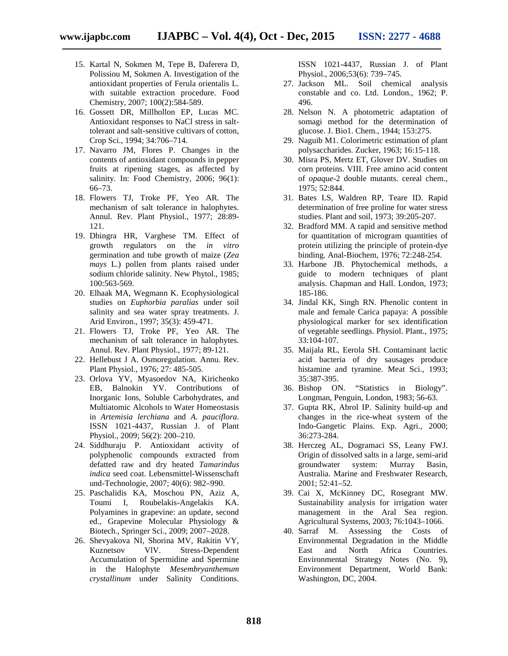- 15. Kartal N, Sokmen M, Tepe B, Daferera D, Polissiou M, Sokmen A. Investigation of the antioxidant properties of Ferula orientalis L. with suitable extraction procedure. Food Chemistry, 2007; 100(2):584-589.
- 16. Gossett DR, Millhollon EP, Lucas MC. Antioxidant responses to NaCl stress in salttolerant and salt-sensitive cultivars of cotton, Crop Sci., 1994; 34:706–714.
- 17. Navarro JM, Flores P. Changes in the contents of antioxidant compounds in pepper fruits at ripening stages, as affected by salinity. In: Food Chemistry, 2006; 96(1): 66–73.
- 18. Flowers TJ, Troke PF, Yeo AR. The mechanism of salt tolerance in halophytes. Annul. Rev. Plant Physiol., 1977; 28:89- 121.
- 19. Dhingra HR, Varghese TM. Effect of growth regulators on the *in vitro* germination and tube growth of maize (*Zea mays* L.) pollen from plants raised under sodium chloride salinity. New Phytol., 1985; 100:563-569.
- 20. Elhaak MA, Wegmann K. Ecophysiological studies on *Euphorbia paralias* under soil salinity and sea water spray treatments. J. Arid Environ., 1997; 35(3): 459-471.
- 21. Flowers TJ, Troke PF, Yeo AR. The mechanism of salt tolerance in halophytes. Annul. Rev. Plant Physiol., 1977; 89-121.
- 22. Hellebust J A. Osmoregulation. Annu. Rev. Plant Physiol., 1976; 27: 485-505.
- 23. Orlova YV, Myasoedov NA, Kirichenko EB, Balnokin YV. Contributions of Inorganic Ions, Soluble Carbohydrates, and Multiatomic Alcohols to Water Homeostasis in *Artemisia lerchiana* and *A. pauciflora.* ISSN 1021-4437, Russian J. of Plant Physiol., 2009; 56(2): 200–210.
- 24. Siddhuraju P. Antioxidant activity of polyphenolic compounds extracted from defatted raw and dry heated *Tamarindus indica* seed coat. Lebensmittel-Wissenschaft und-Technologie, 2007; 40(6): 982–990.
- 25. Paschalidis KA, Moschou PN, Aziz A, Toumi I, Roubelakis-Angelakis KA. Polyamines in grapevine: an update, second ed., Grapevine Molecular Physiology & Biotech., Springer Sci., 2009; 2007–2028.
- 26. Shevyakova NI, Shorina MV, Rakitin VY, Kuznetsov VlV. Stress-Dependent Accumulation of Spermidine and Spermine in the Halophyte *Mesembryanthemum crystallinum* under Salinity Conditions.

ISSN 1021-4437, Russian J. of Plant Physiol., 2006;53(6): 739–745.

- 27. Jackson ML. Soil chemical analysis constable and co. Ltd. London., 1962; P. 496.
- 28. Nelson N. A photometric adaptation of somagi method for the determination of glucose. J. Bio1. Chem., 1944; 153:275.
- 29. Naguib M1. Colorimetric estimation of plant polysaccharides. Zucker, 1963; 16:15-118.
- 30. Misra PS, Mertz ET, Glover DV. Studies on corn proteins. VIII. Free amino acid content of *opaque-*2 double mutants. cereal chem., 1975; 52:844.
- 31. Bates LS, Waldren RP, Teare ID. Rapid determination of free proline for water stress studies. Plant and soil, 1973; 39:205-207.
- 32. Bradford MM. A rapid and sensitive method for quantitation of microgram quantities of protein utilizing the principle of protein-dye binding. Anal-Biochem, 1976; 72:248-254.
- 33. Harbone JB. Phytochemical methods, a guide to modern techniques of plant analysis. Chapman and Hall. London, 1973; 185-186.
- 34. Jindal KK, Singh RN. Phenolic content in male and female Carica papaya: A possible physiological marker for sex identification of vegetable seedlings. Physiol. Plant., 1975; 33:104-107.
- 35. Maijala RL, Eerola SH. Contaminant lactic acid bacteria of dry sausages produce histamine and tyramine. Meat Sci., 1993; 35:387-395.
- 36. Bishop ON. "Statistics in Biology". Longman, Penguin, London, 1983; 56-63.
- 37. Gupta RK, Abrol IP. Salinity build-up and changes in the rice-wheat system of the Indo-Gangetic Plains. Exp. Agri., 2000; 36:273-284.
- 38. Herczeg AL, Dogramaci SS, Leany FWJ. Origin of dissolved salts in a large, semi-arid groundwater system: Murray Basin, Australia. Marine and Freshwater Research, 2001; 52:41–52.
- 39. Cai X, McKinney DC, Rosegrant MW. Sustainability analysis for irrigation water management in the Aral Sea region. Agricultural Systems, 2003; 76:1043–1066.
- 40. Sarraf M. Assessing the Costs of Environmental Degradation in the Middle East and North Africa Countries. Environmental Strategy Notes (No. 9), Environment Department, World Bank: Washington, DC, 2004.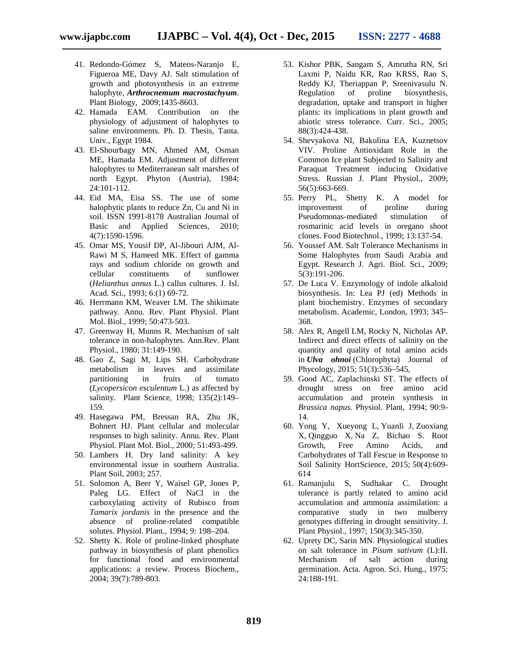- 41. Redondo-Gómez S, Mateos-Naranjo E, Figueroa ME, Davy AJ. Salt stimulation of growth and photosynthesis in an extreme halophyte, *Arthrocnemum macrostachyum*. Plant Biology, 2009;1435-8603.
- 42. Hamada EAM. Contribution on the physiology of adjustment of halophytes to saline environments. Ph. D. Thesis, Tanta. Univ., Egypt 1984.
- 43. El-Shourbagy MN, Ahmed AM, Osman ME, Hamada EM. Adjustment of different halophytes to Mediterranean salt marshes of north Egypt. Phyton (Austria), 1984; 24:101-112.
- 44. Eid MA, Eisa SS. The use of some halophytic plants to reduce Zn, Cu and Ni in soil. ISSN 1991-8178 Australian Journal of Basic and Applied Sciences, 2010; 4(7):1590-1596.
- 45. Omar MS, Yousif DP, Al-Jibouri AJM, Al- Rawi M S, Hameed MK. Effect of gamma rays and sodium chloride on growth and cellular constituents of sunflower (*Helianthus annus* L.) callus cultures. J. Isl. Acad. Sci., 1993; 6:(1) 69-72.
- 46. Herrmann KM, Weaver LM. The shikimate pathway. Annu. Rev. Plant Physiol. Plant Mol. Biol., 1999; 50:473-503.
- 47. Greenway H, Munns R. Mechanism of salt tolerance in non-halophytes. Ann.Rev. Plant Physiol., 1980; 31:149-190.
- 48. Gao Z, Sagi M, Lips SH. Carbohydrate metabolism in leaves and assimilate partitioning in fruits of tomato (*Lycopersicon esculentum* L.) as affected by salinity. Plant Science, 1998; 135(2):149– 159.
- 49. Hasegawa PM, Bressan RA, Zhu JK, Bohnert HJ. Plant cellular and molecular responses to high salinity. Annu. Rev. Plant Physiol. Plant Mol. Biol., 2000; 51:493-499.
- 50. Lambers H. Dry land salinity: A key environmental issue in southern Australia. Plant Soil, 2003; 257.
- 51. Solomon A, Beer Y, Waisel GP, Jones P, Paleg LG. Effect of NaCl in the carboxylating activity of Rubisco from *Tamarix jordanis* in the presence and the absence of proline-related compatible solutes. Physiol. Plant., 1994; 9: 198–204.
- 52. Shetty K. Role of proline-linked phosphate pathway in biosynthesis of plant phenolics for functional food and environmental applications: a review. Process Biochem., 2004; 39(7):789-803.
- 53. Kishor PBK, Sangam S, Amrutha RN, Sri Laxmi P, Naidu KR, Rao KRSS, Rao S, Reddy KJ, Theriappan P, Sreenivasulu N. Regulation of proline biosynthesis, degradation, uptake and transport in higher plants: its implications in plant growth and abiotic stress tolerance. Curr. Sci., 2005; 88(3):424-438.
- 54. Shevyakova NI, Bakulina EA, Kuznetsov VIV. Proline Antioxidant Role in the Common Ice plant Subjected to Salinity and Paraquat Treatment inducing Oxidative Stress. Russian J. Plant Physiol., 2009; 56(5):663-669.
- 55. Perry PL, Shetty K. A model for improvement of proline during Pseudomonas-mediated stimulation of rosmarinic acid levels in oregano shoot clones. Food Biotechnol., 1999; 13:137-54.
- 56. Youssef AM. Salt Tolerance Mechanisms in Some Halophytes from Saudi Arabia and Egypt. Research J. Agri. Biol. Sci., 2009; 5(3):191-206.
- 57. De Luca V. Enzymology of indole alkaloid biosynthesis. In: Lea PJ (ed) Methods in plant biochemistry. Enzymes of secondary metabolism. Academic, London, 1993; 345– 368.
- 58. Alex R, Angell LM, Rocky N, Nicholas AP. Indirect and direct effects of salinity on the quantity and quality of total amino acids in *Ulva ohnoi* (Chlorophyta) Journal of Phycology, 2015; 51(3):536–545,
- 59. Good AC, Zaplachinski ST. The effects of drought stress on free amino acid accumulation and protein synthesis in *Brassica napus*. Physiol. Plant, 1994; 90:9- 14.
- 60. Yong Y, Xueyong L, Yuanli J, Zuoxiang X, Qingguo X, Na Z, Bichao S. Root Growth, Free Amino Acids, and Carbohydrates of Tall Fescue in Response to Soil Salinity HortScience, 2015; 50(4):609- 614
- 61. Ramanjulu S, Sudhakar C. Drought tolerance is partly related to amino acid accumulation and ammonia assimilation: a comparative study in two mulberry genotypes differing in drought sensitivity. J. Plant Physiol., 1997; 150(3):345-350.
- 62. Uprety DC, Sarin MN. Physiological studies on salt tolerance in *Pisum sativum* (L):II. Mechanism of salt action during germination. Acta. Agron. Sci. Hung., 1975; 24:188-191.